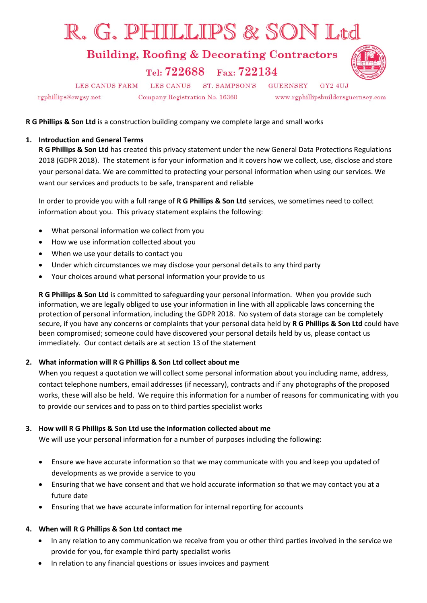# R. G. PHILLIPS & SON Ltd

# **Building, Roofing & Decorating Contractors**

Tel: 722688 Fax: 722134



**LES CANUS FARM** rgphillips@cwgsy.net

Company Registration No. 16360

LES CANUS ST. SAMPSON'S GUERNSEY GY2 4UJ www.rgphillipsbuildersguernsey.com

**R G Phillips & Son Ltd** is a construction building company we complete large and small works

# **1. Introduction and General Terms**

**R G Phillips & Son Ltd** has created this privacy statement under the new General Data Protections Regulations 2018 (GDPR 2018). The statement is for your information and it covers how we collect, use, disclose and store your personal data. We are committed to protecting your personal information when using our services. We want our services and products to be safe, transparent and reliable

In order to provide you with a full range of **R G Phillips & Son Ltd** services, we sometimes need to collect information about you. This privacy statement explains the following:

- What personal information we collect from you
- How we use information collected about you
- When we use your details to contact you
- Under which circumstances we may disclose your personal details to any third party
- Your choices around what personal information your provide to us

**R G Phillips & Son Ltd** is committed to safeguarding your personal information. When you provide such information, we are legally obliged to use your information in line with all applicable laws concerning the protection of personal information, including the GDPR 2018. No system of data storage can be completely secure, if you have any concerns or complaints that your personal data held by **R G Phillips & Son Ltd** could have been compromised; someone could have discovered your personal details held by us, please contact us immediately. Our contact details are at section 13 of the statement

# **2. What information will R G Phillips & Son Ltd collect about me**

When you request a quotation we will collect some personal information about you including name, address, contact telephone numbers, email addresses (if necessary), contracts and if any photographs of the proposed works, these will also be held. We require this information for a number of reasons for communicating with you to provide our services and to pass on to third parties specialist works

## **3. How will R G Phillips & Son Ltd use the information collected about me**

We will use your personal information for a number of purposes including the following:

- Ensure we have accurate information so that we may communicate with you and keep you updated of developments as we provide a service to you
- Ensuring that we have consent and that we hold accurate information so that we may contact you at a future date
- Ensuring that we have accurate information for internal reporting for accounts

## **4. When will R G Phillips & Son Ltd contact me**

- In any relation to any communication we receive from you or other third parties involved in the service we provide for you, for example third party specialist works
- In relation to any financial questions or issues invoices and payment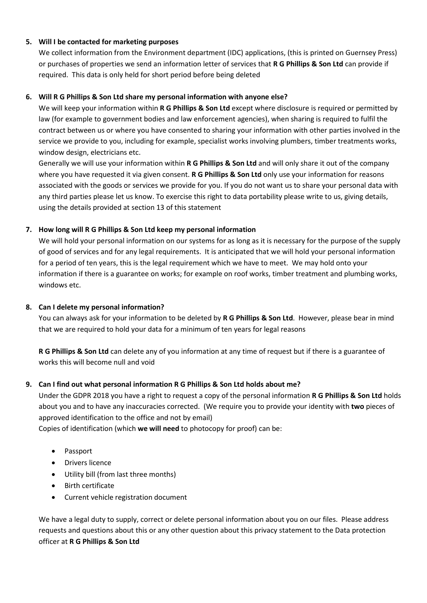## **5. Will I be contacted for marketing purposes**

We collect information from the Environment department (IDC) applications, (this is printed on Guernsey Press) or purchases of properties we send an information letter of services that **R G Phillips & Son Ltd** can provide if required. This data is only held for short period before being deleted

# **6. Will R G Phillips & Son Ltd share my personal information with anyone else?**

We will keep your information within **R G Phillips & Son Ltd** except where disclosure is required or permitted by law (for example to government bodies and law enforcement agencies), when sharing is required to fulfil the contract between us or where you have consented to sharing your information with other parties involved in the service we provide to you, including for example, specialist works involving plumbers, timber treatments works, window design, electricians etc.

Generally we will use your information within **R G Phillips & Son Ltd** and will only share it out of the company where you have requested it via given consent. **R G Phillips & Son Ltd** only use your information for reasons associated with the goods or services we provide for you. If you do not want us to share your personal data with any third parties please let us know. To exercise this right to data portability please write to us, giving details, using the details provided at section 13 of this statement

# **7. How long will R G Phillips & Son Ltd keep my personal information**

We will hold your personal information on our systems for as long as it is necessary for the purpose of the supply of good of services and for any legal requirements. It is anticipated that we will hold your personal information for a period of ten years, this is the legal requirement which we have to meet. We may hold onto your information if there is a guarantee on works; for example on roof works, timber treatment and plumbing works, windows etc.

# **8. Can I delete my personal information?**

You can always ask for your information to be deleted by **R G Phillips & Son Ltd**. However, please bear in mind that we are required to hold your data for a minimum of ten years for legal reasons

**R G Phillips & Son Ltd** can delete any of you information at any time of request but if there is a guarantee of works this will become null and void

# **9. Can I find out what personal information R G Phillips & Son Ltd holds about me?**

Under the GDPR 2018 you have a right to request a copy of the personal information **R G Phillips & Son Ltd** holds about you and to have any inaccuracies corrected. (We require you to provide your identity with **two** pieces of approved identification to the office and not by email)

Copies of identification (which **we will need** to photocopy for proof) can be:

- Passport
- Drivers licence
- Utility bill (from last three months)
- Birth certificate
- Current vehicle registration document

We have a legal duty to supply, correct or delete personal information about you on our files. Please address requests and questions about this or any other question about this privacy statement to the Data protection officer at **R G Phillips & Son Ltd**